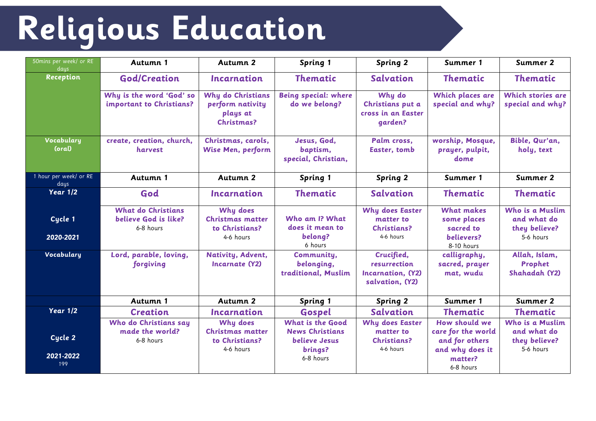## **Religious Education**

| 50mins per week/ or RE<br>days | Autumn 1                                                       | Autumn 2                                                           | Spring 1                                                                      | <b>Spring 2</b>                                                        | Summer 1                                                                  | Summer 2                                                     |
|--------------------------------|----------------------------------------------------------------|--------------------------------------------------------------------|-------------------------------------------------------------------------------|------------------------------------------------------------------------|---------------------------------------------------------------------------|--------------------------------------------------------------|
| <b>Reception</b>               | <b>God/Creation</b>                                            | <b>Incarnation</b>                                                 | <b>Thematic</b>                                                               | <b>Salvation</b>                                                       | <b>Thematic</b>                                                           | <b>Thematic</b>                                              |
|                                | Why is the word 'God' so<br>important to Christians?           | Why do Christians<br>perform nativity<br>plays at<br>Christmas?    | <b>Being special: where</b><br>do we belong?                                  | Why do<br>Christians put a<br>cross in an Easter<br>qarden?            | Which places are<br>special and why?                                      | <b>Which stories are</b><br>special and why?                 |
| Vocabulary<br>(oral)           | create, creation, church,<br>harvest                           | Christmas, carols,<br><b>Wise Men, perform</b>                     | Jesus, God,<br>baptism,<br>special, Christian,                                | Palm cross,<br>Easter, tomb                                            | worship, Mosque,<br>prayer, pulpit,<br>dome                               | Bible, Qur'an,<br>holy, text                                 |
| 1 hour per week/ or RE<br>days | Autumn 1                                                       | Autumn 2                                                           | <b>Spring 1</b>                                                               | <b>Spring 2</b>                                                        | Summer 1                                                                  | Summer 2                                                     |
| <b>Year 1/2</b>                | God                                                            | <b>Incarnation</b>                                                 | <b>Thematic</b>                                                               | <b>Salvation</b>                                                       | <b>Thematic</b>                                                           | <b>Thematic</b>                                              |
| Cycle 1<br>2020-2021           | <b>What do Christians</b><br>believe God is like?<br>6-8 hours | Why does<br>Christmas matter<br>to Christians?<br>4-6 hours        | Who am I? What<br>does it mean to<br>belong?<br>6 hours                       | <b>Why does Easter</b><br>matter to<br><b>Christians?</b><br>4-6 hours | <b>What makes</b><br>some places<br>sacred to<br>believers?<br>8-10 hours | Who is a Muslim<br>and what do<br>they believe?<br>5-6 hours |
| Vocabulary                     | Lord, parable, loving,<br>forgiving                            | Nativity, Advent,<br><b>Incarnate (Y2)</b>                         | Community,<br>belonging,<br>traditional, Muslim                               | Crucified,<br>resurrection<br>Incarnation, (Y2)<br>salvation, (Y2)     | calligraphy,<br>sacred, prayer<br>mat, wudu                               | Allah, Islam,<br>Prophet<br>Shahadah (Y2)                    |
|                                | Autumn 1                                                       | Autumn 2                                                           | <b>Spring 1</b>                                                               | <b>Spring 2</b>                                                        | Summer 1                                                                  | <b>Summer 2</b>                                              |
| Year $1/2$                     | <b>Creation</b>                                                | Incarnation                                                        | Gospel                                                                        | <b>Salvation</b>                                                       | <b>Thematic</b>                                                           | <b>Thematic</b>                                              |
| Cycle 2                        | Who do Christians say<br>made the world?<br>6-8 hours          | Why does<br><b>Christmas matter</b><br>to Christians?<br>4-6 hours | <b>What is the Good</b><br><b>News Christians</b><br>believe Jesus<br>brings? | Why does Easter<br>matter to<br><b>Christians?</b><br>4-6 hours        | How should we<br>care for the world<br>and for others<br>and why does it  | Who is a Muslim<br>and what do<br>they believe?<br>5-6 hours |
| 2021-2022<br>199               |                                                                |                                                                    | 6-8 hours                                                                     |                                                                        | matter?<br>6-8 hours                                                      |                                                              |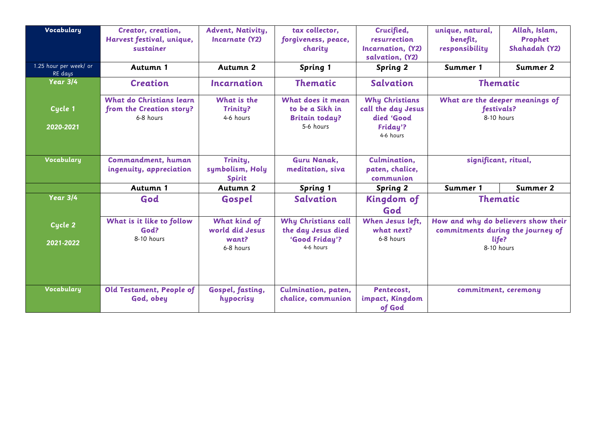| Vocabulary             | Creator, creation,        | Advent, Nativity,                | tax collector,              | Crucified,            | unique, natural,                                                         | Allah, Islam, |
|------------------------|---------------------------|----------------------------------|-----------------------------|-----------------------|--------------------------------------------------------------------------|---------------|
|                        | Harvest festival, unique, | Incarnate (Y2)                   | forgiveness, peace,         | resurrection          | benefit,                                                                 | Prophet       |
|                        | sustainer                 |                                  | charity                     | Incarnation, (Y2)     | responsibility                                                           | Shahadah (Y2) |
|                        |                           |                                  |                             | salvation, (Y2)       |                                                                          |               |
| 1.25 hour per week/ or | Autumn 1                  | Autumn 2                         | Spring 1                    | <b>Spring 2</b>       | Summer 1                                                                 | Summer 2      |
| RE days                |                           |                                  |                             |                       |                                                                          |               |
| <b>Year 3/4</b>        | <b>Creation</b>           | <i><u><b>Incarnation</b></u></i> | <b>Thematic</b>             | <b>Salvation</b>      | <b>Thematic</b>                                                          |               |
|                        | What do Christians learn  | What is the                      | What does it mean           | <b>Why Christians</b> | What are the deeper meanings of                                          |               |
| Cycle 1                | from the Creation story?  | <b>Trinity?</b>                  | to be a Sikh in             | call the day Jesus    | festivals?<br>8-10 hours                                                 |               |
|                        | 6-8 hours                 | 4-6 hours                        | <b>Britain today?</b>       | died 'Good            |                                                                          |               |
|                        |                           |                                  | 5-6 hours                   |                       |                                                                          |               |
| 2020-2021              |                           |                                  |                             | Friday'?              |                                                                          |               |
|                        |                           |                                  |                             | 4-6 hours             |                                                                          |               |
|                        |                           |                                  |                             |                       |                                                                          |               |
| Vocabulary             | Commandment, human        | Trinity,                         | <b>Guru Nanak,</b>          | Culmination,          | significant, ritual,                                                     |               |
|                        | ingenuity, appreciation   | symbolism, Holy                  | meditation, siva            | paten, chalice,       |                                                                          |               |
|                        |                           |                                  |                             | communion             |                                                                          |               |
|                        |                           | <b>Spirit</b>                    |                             |                       |                                                                          |               |
|                        | Autumn 1                  | Autumn 2                         | Spring 1                    | <b>Spring 2</b>       | Summer 1                                                                 | Summer 2      |
| Year 3/4               | God                       | Gospel                           | <b>Salvation</b>            | Kingdom of            | <b>Thematic</b>                                                          |               |
|                        |                           |                                  |                             | God                   |                                                                          |               |
|                        | What is it like to follow | What kind of                     | Why Christians call         | When Jesus left,      | How and why do believers show their<br>commitments during the journey of |               |
| Cycle 2                | God?                      | world did Jesus                  | the day Jesus died          | what next?            |                                                                          |               |
|                        | 8-10 hours                | want?                            |                             | 6-8 hours             |                                                                          |               |
| 2021-2022              |                           |                                  | 'Good Friday'?<br>4-6 hours |                       | life?                                                                    |               |
|                        |                           | 6-8 hours                        |                             |                       | 8-10 hours                                                               |               |
|                        |                           |                                  |                             |                       |                                                                          |               |
|                        |                           |                                  |                             |                       |                                                                          |               |
|                        |                           |                                  |                             |                       |                                                                          |               |
| Vocabulary             | Old Testament, People of  | Gospel, fasting,                 | Culmination, paten,         | Pentecost,            | commitment, ceremony                                                     |               |
|                        | God, obey                 | hypocrisy                        | chalice, communion          | impact, Kingdom       |                                                                          |               |
|                        |                           |                                  |                             |                       |                                                                          |               |
|                        |                           |                                  |                             | of God                |                                                                          |               |